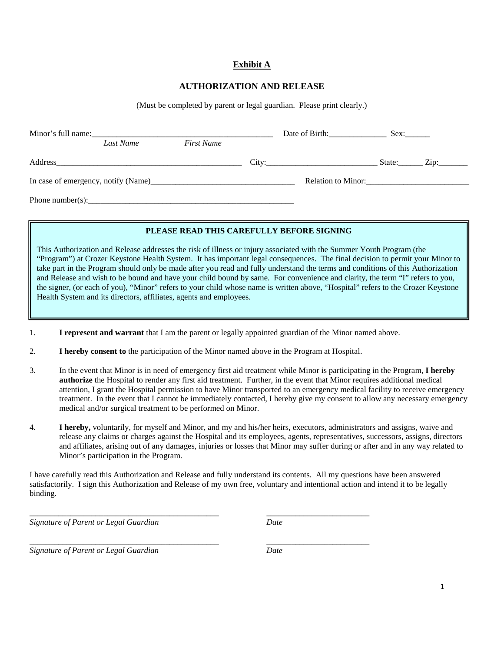## **Exhibit A**

## **AUTHORIZATION AND RELEASE**

(Must be completed by parent or legal guardian. Please print clearly.)

|         | Minor's full name: |                   | Date of Birth:     | Sex: |                      |
|---------|--------------------|-------------------|--------------------|------|----------------------|
|         | Last Name          | <b>First Name</b> |                    |      |                      |
| Address |                    |                   | City:              |      | State: $\angle$ Zip: |
|         |                    |                   | Relation to Minor: |      |                      |
|         |                    |                   |                    |      |                      |

## PLEASE READ THIS CAREFULLY BEFORE SIGNING

This Authorization and Release addresses the risk of illness or injury associated with the Summer Youth Program (the "Program") at Crozer Keystone Health System. It has important legal consequences. The final decision to permit your Minor to take part in the Program should only be made after you read and fully understand the terms and conditions of this Authorization and Release and wish to be bound and have your child bound by same. For convenience and clarity, the term "I" refers to you, the signer, (or each of you), "Minor" refers to your child whose name is written above, "Hospital" refers to the Crozer Keystone Health System and its directors, affiliates, agents and employees.

- 1. **I represent and warrant** that I am the parent or legally appointed guardian of the Minor named above.
- 2. **I hereby consent to** the participation of the Minor named above in the Program at Hospital.

\_\_\_\_\_\_\_\_\_\_\_\_\_\_\_\_\_\_\_\_\_\_\_\_\_\_\_\_\_\_\_\_\_\_\_\_\_\_\_\_\_\_\_\_\_\_ \_\_\_\_\_\_\_\_\_\_\_\_\_\_\_\_\_\_\_\_\_\_\_\_\_

- 3. In the event that Minor is in need of emergency first aid treatment while Minor is participating in the Program, **I hereby authorize** the Hospital to render any first aid treatment. Further, in the event that Minor requires additional medical attention, I grant the Hospital permission to have Minor transported to an emergency medical facility to receive emergency treatment. In the event that I cannot be immediately contacted, I hereby give my consent to allow any necessary emergency medical and/or surgical treatment to be performed on Minor.
- 4. **I hereby,** voluntarily, for myself and Minor, and my and his/her heirs, executors, administrators and assigns, waive and release any claims or charges against the Hospital and its employees, agents, representatives, successors, assigns, directors and affiliates, arising out of any damages, injuries or losses that Minor may suffer during or after and in any way related to Minor's participation in the Program.

I have carefully read this Authorization and Release and fully understand its contents. All my questions have been answered satisfactorily. I sign this Authorization and Release of my own free, voluntary and intentional action and intend it to be legally binding.

*Signature of Parent or Legal Guardian Date*

\_\_\_\_\_\_\_\_\_\_\_\_\_\_\_\_\_\_\_\_\_\_\_\_\_\_\_\_\_\_\_\_\_\_\_\_\_\_\_\_\_\_\_\_\_\_ \_\_\_\_\_\_\_\_\_\_\_\_\_\_\_\_\_\_\_\_\_\_\_\_\_ *Signature of Parent or Legal Guardian Date*